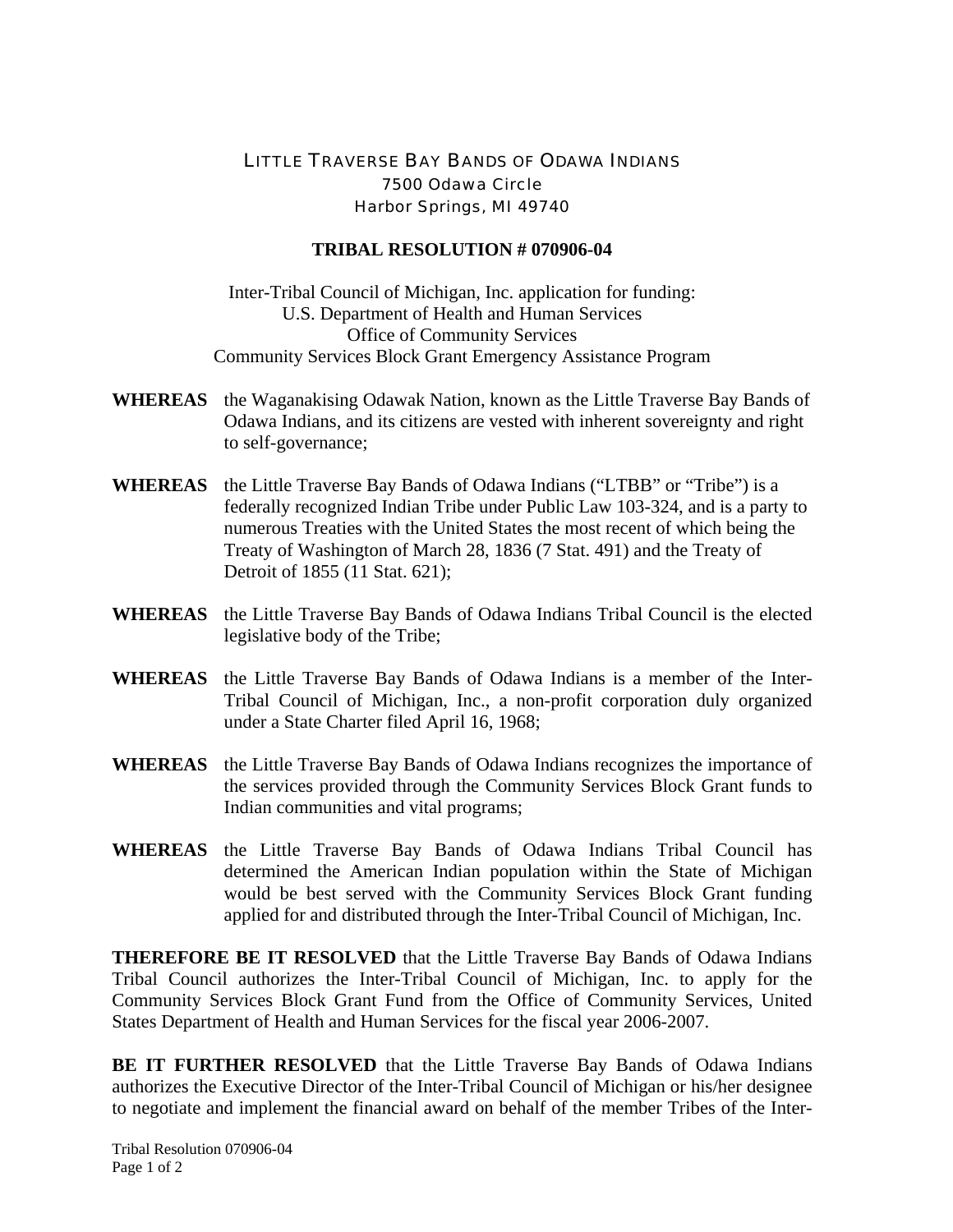## LITTLE TRAVERSE BAY BANDS OF ODAWA INDIANS 7500 Odawa Circle Harbor Springs, MI 49740

## **TRIBAL RESOLUTION # 070906-04**

Inter-Tribal Council of Michigan, Inc. application for funding: U.S. Department of Health and Human Services Office of Community Services Community Services Block Grant Emergency Assistance Program

- **WHEREAS** the Waganakising Odawak Nation, known as the Little Traverse Bay Bands of Odawa Indians, and its citizens are vested with inherent sovereignty and right to self-governance;
- **WHEREAS** the Little Traverse Bay Bands of Odawa Indians ("LTBB" or "Tribe") is a federally recognized Indian Tribe under Public Law 103-324, and is a party to numerous Treaties with the United States the most recent of which being the Treaty of Washington of March 28, 1836 (7 Stat. 491) and the Treaty of Detroit of 1855 (11 Stat. 621);
- **WHEREAS** the Little Traverse Bay Bands of Odawa Indians Tribal Council is the elected legislative body of the Tribe;
- **WHEREAS** the Little Traverse Bay Bands of Odawa Indians is a member of the Inter-Tribal Council of Michigan, Inc., a non-profit corporation duly organized under a State Charter filed April 16, 1968;
- **WHEREAS** the Little Traverse Bay Bands of Odawa Indians recognizes the importance of the services provided through the Community Services Block Grant funds to Indian communities and vital programs;
- **WHEREAS** the Little Traverse Bay Bands of Odawa Indians Tribal Council has determined the American Indian population within the State of Michigan would be best served with the Community Services Block Grant funding applied for and distributed through the Inter-Tribal Council of Michigan, Inc.

**THEREFORE BE IT RESOLVED** that the Little Traverse Bay Bands of Odawa Indians Tribal Council authorizes the Inter-Tribal Council of Michigan, Inc. to apply for the Community Services Block Grant Fund from the Office of Community Services, United States Department of Health and Human Services for the fiscal year 2006-2007.

**BE IT FURTHER RESOLVED** that the Little Traverse Bay Bands of Odawa Indians authorizes the Executive Director of the Inter-Tribal Council of Michigan or his/her designee to negotiate and implement the financial award on behalf of the member Tribes of the Inter